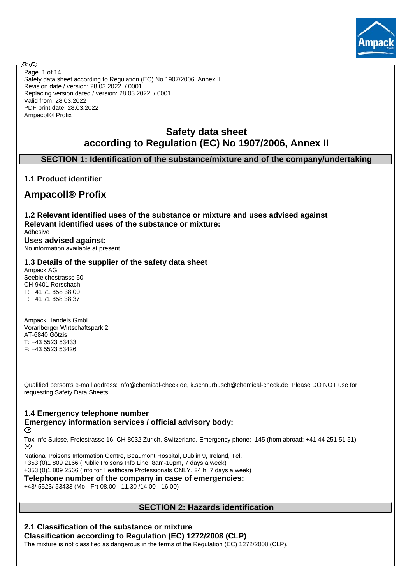

**®®** Page 1 of 14Safety data sheet according to Regulation (EC) No 1907/2006, Annex II Revision date / version: 28.03.2022 / 0001 Replacing version dated / version: 28.03.2022 / 0001 Valid from: 28.03.2022 PDF print date: 28.03.2022 Ampacoll® Profix

# **Safety data sheet according to Regulation (EC) No 1907/2006, Annex II**

## **SECTION 1: Identification of the substance/mixture and of the company/undertaking**

## **1.1 Product identifier**

# **Ampacoll® Profix**

**1.2 Relevant identified uses of the substance or mixture and uses advised against Relevant identified uses of the substance or mixture:** Adhesive

**Uses advised against:** No information available at present.

## **1.3 Details of the supplier of the safety data sheet**

Ampack AG Seebleichestrasse 50 CH-9401 Rorschach T: +41 71 858 38 00 F: +41 71 858 38 37

Ampack Handels GmbH Vorarlberger Wirtschaftspark 2 AT-6840 Götzis T: +43 5523 53433 F: +43 5523 53426

Qualified person's e-mail address: info@chemical-check.de, k.schnurbusch@chemical-check.de Please DO NOT use for requesting Safety Data Sheets.

# **1.4 Emergency telephone number Emergency information services / official advisory body:**

**®** 

Tox Info Suisse, Freiestrasse 16, CH-8032 Zurich, Switzerland. Emergency phone: 145 (from abroad: +41 44 251 51 51)<br>(R)

National Poisons Information Centre, Beaumont Hospital, Dublin 9, Ireland, Tel.:

+353 (0)1 809 2166 (Public Poisons Info Line, 8am-10pm, 7 days a week)

+353 (0)1 809 2566 (Info for Healthcare Professionals ONLY, 24 h, 7 days a week)

**Telephone number of the company in case of emergencies:**

+43/ 5523/ 53433 (Mo - Fr) 08.00 - 11.30 /14.00 - 16.00)

## **SECTION 2: Hazards identification**

# **2.1 Classification of the substance or mixture Classification according to Regulation (EC) 1272/2008 (CLP)**

The mixture is not classified as dangerous in the terms of the Regulation (EC) 1272/2008 (CLP).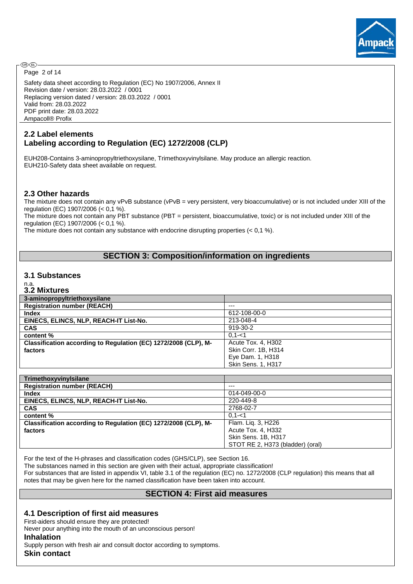

**®®** Page 2 of 14

Safety data sheet according to Regulation (EC) No 1907/2006, Annex II Revision date / version: 28.03.2022 / 0001 Replacing version dated / version: 28.03.2022 / 0001 Valid from: 28.03.2022 PDF print date: 28.03.2022 Ampacoll® Profix

## **2.2 Label elements Labeling according to Regulation (EC) 1272/2008 (CLP)**

EUH208-Contains 3-aminopropyltriethoxysilane, Trimethoxyvinylsilane. May produce an allergic reaction. EUH210-Safety data sheet available on request.

#### **2.3 Other hazards**

The mixture does not contain any vPvB substance (vPvB = very persistent, very bioaccumulative) or is not included under XIII of the regulation (EC) 1907/2006 (< 0,1 %).

The mixture does not contain any PBT substance (PBT = persistent, bioaccumulative, toxic) or is not included under XIII of the regulation (EC) 1907/2006 (< 0,1 %).

The mixture does not contain any substance with endocrine disrupting properties (< 0,1 %).

## **SECTION 3: Composition/information on ingredients**

#### **3.1 Substances**

#### n.a. **3.2 Mixtures**

| 3-aminopropyltriethoxysilane                                    |                     |
|-----------------------------------------------------------------|---------------------|
| <b>Registration number (REACH)</b>                              | $---$               |
| <b>Index</b>                                                    | 612-108-00-0        |
| EINECS, ELINCS, NLP, REACH-IT List-No.                          | 213-048-4           |
| <b>CAS</b>                                                      | 919-30-2            |
| content %                                                       | $0.1 - 1$           |
| Classification according to Regulation (EC) 1272/2008 (CLP), M- | Acute Tox. 4, H302  |
| factors                                                         | Skin Corr. 1B, H314 |
|                                                                 | Eye Dam. 1, H318    |
|                                                                 | Skin Sens. 1, H317  |

| TrimethoxyvinyIsilane                                           |                                  |
|-----------------------------------------------------------------|----------------------------------|
| <b>Registration number (REACH)</b>                              | $---$                            |
| <b>Index</b>                                                    | 014-049-00-0                     |
| EINECS, ELINCS, NLP, REACH-IT List-No.                          | 220-449-8                        |
| <b>CAS</b>                                                      | 2768-02-7                        |
| content %                                                       | $0.1 - 1$                        |
| Classification according to Regulation (EC) 1272/2008 (CLP), M- | Flam. Lig. 3, H226               |
| factors                                                         | Acute Tox. 4, H332               |
|                                                                 | Skin Sens. 1B, H317              |
|                                                                 | STOT RE 2, H373 (bladder) (oral) |

For the text of the H-phrases and classification codes (GHS/CLP), see Section 16.

The substances named in this section are given with their actual, appropriate classification!

For substances that are listed in appendix VI, table 3.1 of the regulation (EC) no. 1272/2008 (CLP regulation) this means that all notes that may be given here for the named classification have been taken into account.

### **SECTION 4: First aid measures**

### **4.1 Description of first aid measures**

First-aiders should ensure they are protected!

Never pour anything into the mouth of an unconscious person!

#### **Inhalation**

Supply person with fresh air and consult doctor according to symptoms. **Skin contact**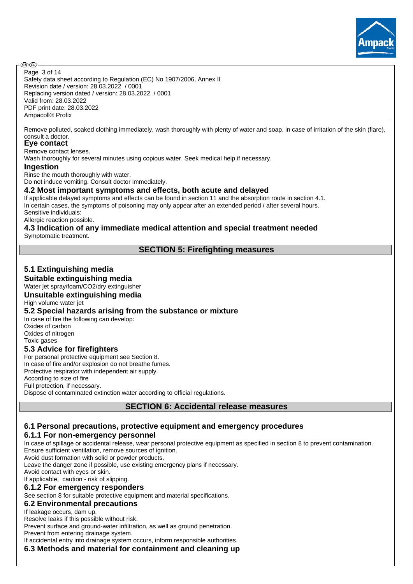

Safety data sheet according to Regulation (EC) No 1907/2006, Annex II Revision date / version: 28.03.2022 / 0001 Replacing version dated / version: 28.03.2022 / 0001 Valid from: 28.03.2022 PDF print date: 28.03.2022 Ampacoll® Profix Page 3 of 14

Remove polluted, soaked clothing immediately, wash thoroughly with plenty of water and soap, in case of irritation of the skin (flare), consult a doctor.

#### **Eye contact**

Remove contact lenses.

Wash thoroughly for several minutes using copious water. Seek medical help if necessary.

#### **Ingestion**

Rinse the mouth thoroughly with water.

Do not induce vomiting. Consult doctor immediately.

#### **4.2 Most important symptoms and effects, both acute and delayed**

If applicable delayed symptoms and effects can be found in section 11 and the absorption route in section 4.1. In certain cases, the symptoms of poisoning may only appear after an extended period / after several hours. Sensitive individuals:

Allergic reaction possible.

#### **4.3 Indication of any immediate medical attention and special treatment needed** Symptomatic treatment.

## **SECTION 5: Firefighting measures**

# **5.1 Extinguishing media**

**Suitable extinguishing media**

#### Water jet spray/foam/CO2/dry extinguisher **Unsuitable extinguishing media**

High volume water jet

### **5.2 Special hazards arising from the substance or mixture**

In case of fire the following can develop: Oxides of carbon Oxides of nitrogen Toxic gases

### **5.3 Advice for firefighters**

For personal protective equipment see Section 8. In case of fire and/or explosion do not breathe fumes. Protective respirator with independent air supply. According to size of fire Full protection, if necessary. Dispose of contaminated extinction water according to official regulations.

### **SECTION 6: Accidental release measures**

# **6.1 Personal precautions, protective equipment and emergency procedures**

### **6.1.1 For non-emergency personnel**

In case of spillage or accidental release, wear personal protective equipment as specified in section 8 to prevent contamination. Ensure sufficient ventilation, remove sources of ignition.

Avoid dust formation with solid or powder products.

Leave the danger zone if possible, use existing emergency plans if necessary.

Avoid contact with eyes or skin.

If applicable, caution - risk of slipping.

### **6.1.2 For emergency responders**

See section 8 for suitable protective equipment and material specifications.

#### **6.2 Environmental precautions**

If leakage occurs, dam up.

Resolve leaks if this possible without risk.

Prevent surface and ground-water infiltration, as well as ground penetration.

Prevent from entering drainage system.

If accidental entry into drainage system occurs, inform responsible authorities.

**6.3 Methods and material for containment and cleaning up**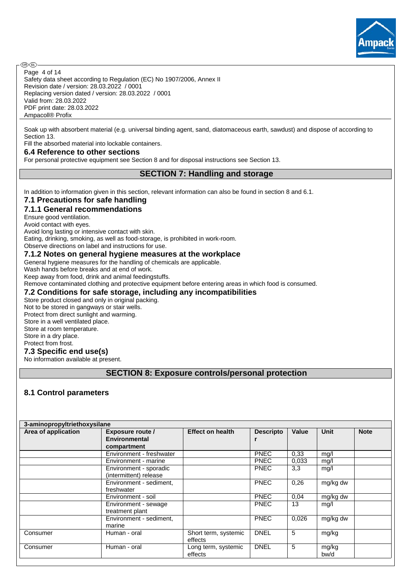

Safety data sheet according to Regulation (EC) No 1907/2006, Annex II Revision date / version: 28.03.2022 / 0001 Replacing version dated / version: 28.03.2022 / 0001 Valid from: 28.03.2022 PDF print date: 28.03.2022 Ampacoll® Profix Page 4 of 14

Soak up with absorbent material (e.g. universal binding agent, sand, diatomaceous earth, sawdust) and dispose of according to Section 13.

Fill the absorbed material into lockable containers.

#### **6.4 Reference to other sections**

For personal protective equipment see Section 8 and for disposal instructions see Section 13.

## **SECTION 7: Handling and storage**

In addition to information given in this section, relevant information can also be found in section 8 and 6.1.

#### **7.1 Precautions for safe handling**

## **7.1.1 General recommendations**

Ensure good ventilation.

**®®** 

Avoid contact with eyes.

Avoid long lasting or intensive contact with skin.

Eating, drinking, smoking, as well as food-storage, is prohibited in work-room.

Observe directions on label and instructions for use.

## **7.1.2 Notes on general hygiene measures at the workplace**

General hygiene measures for the handling of chemicals are applicable.

Wash hands before breaks and at end of work.

Keep away from food, drink and animal feedingstuffs.

Remove contaminated clothing and protective equipment before entering areas in which food is consumed.

## **7.2 Conditions for safe storage, including any incompatibilities**

Store product closed and only in original packing. Not to be stored in gangways or stair wells. Protect from direct sunlight and warming. Store in a well ventilated place. Store at room temperature. Store in a dry place. Protect from frost. **7.3 Specific end use(s)**

No information available at present.

## **SECTION 8: Exposure controls/personal protection**

## **8.1 Control parameters**

| 3-aminopropyltriethoxysilane |                          |                         |                  |              |             |             |  |  |  |  |  |
|------------------------------|--------------------------|-------------------------|------------------|--------------|-------------|-------------|--|--|--|--|--|
| Area of application          | Exposure route /         | <b>Effect on health</b> | <b>Descripto</b> | <b>Value</b> | <b>Unit</b> | <b>Note</b> |  |  |  |  |  |
|                              | <b>Environmental</b>     |                         |                  |              |             |             |  |  |  |  |  |
|                              | compartment              |                         |                  |              |             |             |  |  |  |  |  |
|                              | Environment - freshwater |                         | <b>PNEC</b>      | 0.33         | mg/l        |             |  |  |  |  |  |
|                              | Environment - marine     |                         | <b>PNEC</b>      | 0.033        | mg/l        |             |  |  |  |  |  |
|                              | Environment - sporadic   |                         | <b>PNEC</b>      | 3,3          | mg/l        |             |  |  |  |  |  |
|                              | (intermittent) release   |                         |                  |              |             |             |  |  |  |  |  |
|                              | Environment - sediment,  |                         | <b>PNEC</b>      | 0,26         | mg/kg dw    |             |  |  |  |  |  |
|                              | freshwater               |                         |                  |              |             |             |  |  |  |  |  |
|                              | Environment - soil       |                         | <b>PNEC</b>      | 0.04         | mg/kg dw    |             |  |  |  |  |  |
|                              | Environment - sewage     |                         | <b>PNEC</b>      | 13           | mg/l        |             |  |  |  |  |  |
|                              | treatment plant          |                         |                  |              |             |             |  |  |  |  |  |
|                              | Environment - sediment,  |                         | <b>PNEC</b>      | 0.026        | mg/kg dw    |             |  |  |  |  |  |
|                              | marine                   |                         |                  |              |             |             |  |  |  |  |  |
| Consumer                     | Human - oral             | Short term, systemic    | <b>DNEL</b>      | 5            | mg/kg       |             |  |  |  |  |  |
|                              |                          | effects                 |                  |              |             |             |  |  |  |  |  |
| Consumer                     | Human - oral             | Long term, systemic     | <b>DNEL</b>      | 5            | mg/kg       |             |  |  |  |  |  |
|                              |                          | effects                 |                  |              | bw/d        |             |  |  |  |  |  |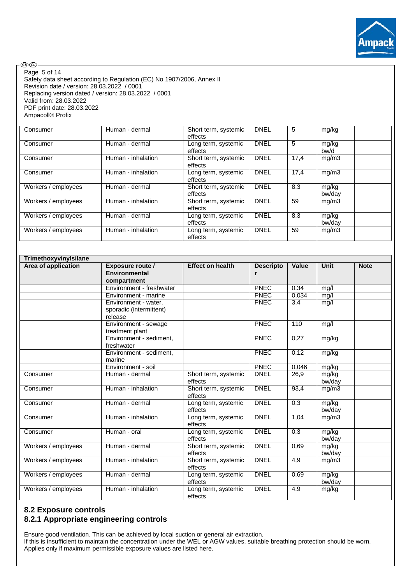

®®-Page 5 of 14Safety data sheet according to Regulation (EC) No 1907/2006, Annex II Revision date / version: 28.03.2022 / 0001 Replacing version dated / version: 28.03.2022 / 0001 Valid from: 28.03.2022 PDF print date: 28.03.2022 Ampacoll® Profix

| Consumer            | Human - dermal     | Short term, systemic<br>effects | <b>DNEL</b> | 5    | mg/kg           |  |
|---------------------|--------------------|---------------------------------|-------------|------|-----------------|--|
| Consumer            | Human - dermal     | Long term, systemic<br>effects  | <b>DNEL</b> | 5    | mg/kg<br>bw/d   |  |
| Consumer            | Human - inhalation | Short term, systemic<br>effects | <b>DNEL</b> | 17.4 | mg/m3           |  |
| Consumer            | Human - inhalation | Long term, systemic<br>effects  | <b>DNEL</b> | 17,4 | mg/m3           |  |
| Workers / employees | Human - dermal     | Short term, systemic<br>effects | <b>DNEL</b> | 8,3  | mg/kg<br>bw/dav |  |
| Workers / employees | Human - inhalation | Short term, systemic<br>effects | <b>DNEL</b> | 59   | mg/m3           |  |
| Workers / employees | Human - dermal     | Long term, systemic<br>effects  | <b>DNEL</b> | 8,3  | mg/kg<br>bw/dav |  |
| Workers / employees | Human - inhalation | Long term, systemic<br>effects  | <b>DNEL</b> | 59   | mg/m3           |  |

| TrimethoxyvinyIsilane |                                                            |                                 |                       |                  |                 |             |  |  |  |  |
|-----------------------|------------------------------------------------------------|---------------------------------|-----------------------|------------------|-----------------|-------------|--|--|--|--|
| Area of application   | <b>Exposure route /</b><br>Environmental<br>compartment    | <b>Effect on health</b>         | <b>Descripto</b><br>r | <b>Value</b>     | Unit            | <b>Note</b> |  |  |  |  |
|                       | Environment - freshwater                                   |                                 | <b>PNEC</b>           | 0.34             | mg/l            |             |  |  |  |  |
|                       | Environment - marine                                       |                                 | <b>PNEC</b>           | 0,034            | mg/l            |             |  |  |  |  |
|                       | Environment - water.<br>sporadic (intermittent)<br>release |                                 | <b>PNEC</b>           | 3,4              | mg/l            |             |  |  |  |  |
|                       | Environment - sewage<br>treatment plant                    |                                 | <b>PNEC</b>           | 110              | mg/l            |             |  |  |  |  |
|                       | Environment - sediment,<br>freshwater                      |                                 | <b>PNEC</b>           | 0,27             | mg/kg           |             |  |  |  |  |
|                       | Environment - sediment,<br>marine                          |                                 | <b>PNEC</b>           | 0,12             | mg/kg           |             |  |  |  |  |
|                       | Environment - soil                                         |                                 | <b>PNEC</b>           | 0,046            | mg/kg           |             |  |  |  |  |
| Consumer              | Human - dermal                                             | Short term, systemic<br>effects | <b>DNEL</b>           | 26,9             | mg/kg<br>bw/day |             |  |  |  |  |
| Consumer              | Human - inhalation                                         | Short term, systemic<br>effects | <b>DNEL</b>           | 93,4             | mg/m3           |             |  |  |  |  |
| Consumer              | Human - dermal                                             | Long term, systemic<br>effects  | <b>DNEL</b>           | 0,3              | mg/kg<br>bw/day |             |  |  |  |  |
| Consumer              | Human - inhalation                                         | Long term, systemic<br>effects  | <b>DNEL</b>           | 1,04             | mg/m3           |             |  |  |  |  |
| Consumer              | Human - oral                                               | Long term, systemic<br>effects  | <b>DNEL</b>           | 0,3              | mg/kg<br>bw/day |             |  |  |  |  |
| Workers / employees   | Human - dermal                                             | Short term, systemic<br>effects | <b>DNEL</b>           | 0,69             | mg/kg<br>bw/day |             |  |  |  |  |
| Workers / employees   | Human - inhalation                                         | Short term, systemic<br>effects | <b>DNEL</b>           | $\overline{4,9}$ | mg/m3           |             |  |  |  |  |
| Workers / employees   | Human - dermal                                             | Long term, systemic<br>effects  | <b>DNEL</b>           | 0,69             | mg/kg<br>bw/day |             |  |  |  |  |
| Workers / employees   | Human - inhalation                                         | Long term, systemic<br>effects  | <b>DNEL</b>           | 4,9              | mg/kg           |             |  |  |  |  |

## **8.2 Exposure controls 8.2.1 Appropriate engineering controls**

Ensure good ventilation. This can be achieved by local suction or general air extraction. If this is insufficient to maintain the concentration under the WEL or AGW values, suitable breathing protection should be worn. Applies only if maximum permissible exposure values are listed here.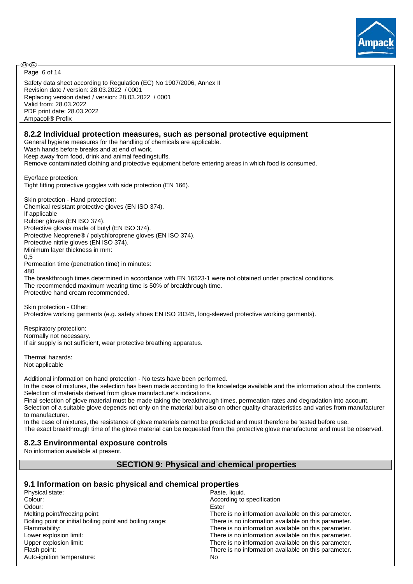

Safety data sheet according to Regulation (EC) No 1907/2006, Annex II Revision date / version: 28.03.2022 / 0001 Replacing version dated / version: 28.03.2022 / 0001 Valid from: 28.03.2022 PDF print date: 28.03.2022 Ampacoll® Profix Page 6 of 14

## **8.2.2 Individual protection measures, such as personal protective equipment**

General hygiene measures for the handling of chemicals are applicable.

Wash hands before breaks and at end of work.

Keep away from food, drink and animal feedingstuffs.

Remove contaminated clothing and protective equipment before entering areas in which food is consumed.

Eye/face protection: Tight fitting protective goggles with side protection (EN 166).

Skin protection - Hand protection: Chemical resistant protective gloves (EN ISO 374). If applicable Rubber gloves (EN ISO 374). Protective gloves made of butyl (EN ISO 374). Protective Neoprene® / polychloroprene gloves (EN ISO 374). Protective nitrile gloves (EN ISO 374). Minimum layer thickness in mm: 0,5 Permeation time (penetration time) in minutes:

480

The breakthrough times determined in accordance with EN 16523-1 were not obtained under practical conditions. The recommended maximum wearing time is 50% of breakthrough time. Protective hand cream recommended.

Skin protection - Other: Protective working garments (e.g. safety shoes EN ISO 20345, long-sleeved protective working garments).

Respiratory protection: Normally not necessary. If air supply is not sufficient, wear protective breathing apparatus.

Thermal hazards: Not applicable

Additional information on hand protection - No tests have been performed.

In the case of mixtures, the selection has been made according to the knowledge available and the information about the contents. Selection of materials derived from glove manufacturer's indications.

Final selection of glove material must be made taking the breakthrough times, permeation rates and degradation into account. Selection of a suitable glove depends not only on the material but also on other quality characteristics and varies from manufacturer to manufacturer.

In the case of mixtures, the resistance of glove materials cannot be predicted and must therefore be tested before use. The exact breakthrough time of the glove material can be requested from the protective glove manufacturer and must be observed.

## **8.2.3 Environmental exposure controls**

No information available at present.

## **SECTION 9: Physical and chemical properties**

### **9.1 Information on basic physical and chemical properties**

| Physical state:                                           | Paste, liquid.                                       |
|-----------------------------------------------------------|------------------------------------------------------|
| Colour:                                                   | According to specification                           |
| Odour:                                                    | Ester                                                |
| Melting point/freezing point:                             | There is no information available on this parameter. |
| Boiling point or initial boiling point and boiling range: | There is no information available on this parameter. |
| Flammability:                                             | There is no information available on this parameter. |
| Lower explosion limit:                                    | There is no information available on this parameter. |
| Upper explosion limit:                                    | There is no information available on this parameter. |
| Flash point:                                              | There is no information available on this parameter. |
| Auto-ignition temperature:                                | No                                                   |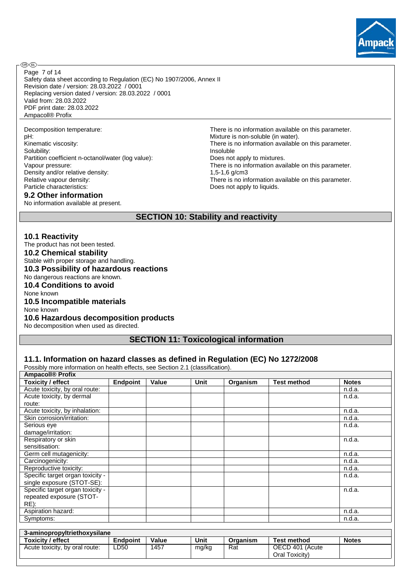

Safety data sheet according to Regulation (EC) No 1907/2006, Annex II Revision date / version: 28.03.2022 / 0001 Replacing version dated / version: 28.03.2022 / 0001 Valid from: 28.03.2022 PDF print date: 28.03.2022 Ampacoll® Profix Page 7 of 14

Solubility: Insoluble Partition coefficient n-octanol/water (log value): Does not apply to mixtures. Density and/or relative density:<br>
Relative vapour density:<br>
There is no inf Particle characteristics: Does not apply to liquids.

## **9.2 Other information**

No information available at present.

Decomposition temperature:<br>
pH:<br>
Mixture is non-soluble (in water).<br>
Mixture is non-soluble (in water). Mixture is non-soluble (in water). Kinematic viscosity: There is no information available on this parameter. Vapour pressure: There is no information available on this parameter. There is no information available on this parameter.

Oral Toxicity)

## **SECTION 10: Stability and reactivity**

#### **10.1 Reactivity**

The product has not been tested.

## **10.2 Chemical stability**

Stable with proper storage and handling.

## **10.3 Possibility of hazardous reactions**

No dangerous reactions are known. **10.4 Conditions to avoid**

# None known

#### **10.5 Incompatible materials**

None known

#### **10.6 Hazardous decomposition products**

No decomposition when used as directed.

## **SECTION 11: Toxicological information**

### **11.1. Information on hazard classes as defined in Regulation (EC) No 1272/2008**

Possibly more information on health effects, see Section 2.1 (classification).

| <b>Ampacoll® Profix</b>          |                 |       |       |          |                    |              |  |  |  |
|----------------------------------|-----------------|-------|-------|----------|--------------------|--------------|--|--|--|
| <b>Toxicity / effect</b>         | <b>Endpoint</b> | Value | Unit  | Organism | <b>Test method</b> | <b>Notes</b> |  |  |  |
| Acute toxicity, by oral route:   |                 |       |       |          |                    | n.d.a.       |  |  |  |
| Acute toxicity, by dermal        |                 |       |       |          |                    | n.d.a.       |  |  |  |
| route:                           |                 |       |       |          |                    |              |  |  |  |
| Acute toxicity, by inhalation:   |                 |       |       |          |                    | n.d.a.       |  |  |  |
| Skin corrosion/irritation:       |                 |       |       |          |                    | n.d.a.       |  |  |  |
| Serious eye                      |                 |       |       |          |                    | n.d.a.       |  |  |  |
| damage/irritation:               |                 |       |       |          |                    |              |  |  |  |
| Respiratory or skin              |                 |       |       |          |                    | n.d.a.       |  |  |  |
| sensitisation:                   |                 |       |       |          |                    |              |  |  |  |
| Germ cell mutagenicity:          |                 |       |       |          |                    | n.d.a.       |  |  |  |
| Carcinogenicity:                 |                 |       |       |          |                    | n.d.a.       |  |  |  |
| Reproductive toxicity:           |                 |       |       |          |                    | n.d.a.       |  |  |  |
| Specific target organ toxicity - |                 |       |       |          |                    | n.d.a.       |  |  |  |
| single exposure (STOT-SE):       |                 |       |       |          |                    |              |  |  |  |
| Specific target organ toxicity - |                 |       |       |          |                    | n.d.a.       |  |  |  |
| repeated exposure (STOT-         |                 |       |       |          |                    |              |  |  |  |
| RE):                             |                 |       |       |          |                    |              |  |  |  |
| Aspiration hazard:               |                 |       |       |          |                    | n.d.a.       |  |  |  |
| Symptoms:                        |                 |       |       |          |                    | n.d.a.       |  |  |  |
|                                  |                 |       |       |          |                    |              |  |  |  |
| 3-aminopropyltriethoxysilane     |                 |       |       |          |                    |              |  |  |  |
| <b>Toxicity / effect</b>         | <b>Endpoint</b> | Value | Unit  | Organism | <b>Test method</b> | <b>Notes</b> |  |  |  |
| Acute toxicity, by oral route:   | LD50            | 1457  | mg/kg | Rat      | OECD 401 (Acute    |              |  |  |  |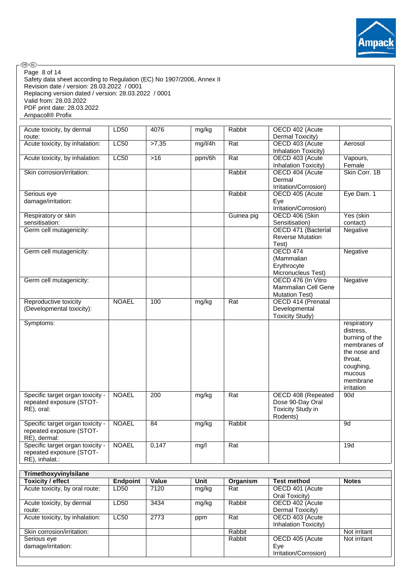

Safety data sheet according to Regulation (EC) No 1907/2006, Annex II Revision date / version: 28.03.2022 / 0001 Replacing version dated / version: 28.03.2022 / 0001 Valid from: 28.03.2022 PDF print date: 28.03.2022 Ampacoll® Profix Page 8 of 14

.<br>®®-

| Acute toxicity, by dermal<br>route: | LD50            | 4076  | mg/kg   | Rabbit     | OECD 402 (Acute<br>Dermal Toxicity)     |                    |
|-------------------------------------|-----------------|-------|---------|------------|-----------------------------------------|--------------------|
| Acute toxicity, by inhalation:      | LC50            | >7,35 | mg/l/4h | Rat        | OECD 403 (Acute                         | Aerosol            |
|                                     |                 |       |         |            | Inhalation Toxicity)                    |                    |
| Acute toxicity, by inhalation:      | LC50            | $>16$ | ppm/6h  | Rat        | OECD 403 (Acute<br>Inhalation Toxicity) | Vapours,<br>Female |
| Skin corrosion/irritation:          |                 |       |         | Rabbit     | OECD 404 (Acute                         | Skin Corr. 1B      |
|                                     |                 |       |         |            |                                         |                    |
|                                     |                 |       |         |            | Dermal<br>Irritation/Corrosion)         |                    |
| Serious eye                         |                 |       |         | Rabbit     | OECD 405 (Acute                         | Eye Dam. 1         |
| damage/irritation:                  |                 |       |         |            | Eye<br>Irritation/Corrosion)            |                    |
|                                     |                 |       |         |            |                                         |                    |
| Respiratory or skin                 |                 |       |         | Guinea pig | OECD 406 (Skin                          | Yes (skin          |
| sensitisation:                      |                 |       |         |            | Sensitisation)                          | contact)           |
| Germ cell mutagenicity:             |                 |       |         |            | OECD 471 (Bacterial                     | Negative           |
|                                     |                 |       |         |            | <b>Reverse Mutation</b>                 |                    |
|                                     |                 |       |         |            |                                         |                    |
|                                     |                 |       |         |            | Test)                                   |                    |
| Germ cell mutagenicity:             |                 |       |         |            | <b>OECD 474</b>                         | Negative           |
|                                     |                 |       |         |            | (Mammalian                              |                    |
|                                     |                 |       |         |            | Erythrocyte                             |                    |
|                                     |                 |       |         |            | Micronucleus Test)                      |                    |
|                                     |                 |       |         |            |                                         |                    |
| Germ cell mutagenicity:             |                 |       |         |            | OECD 476 (In Vitro                      | Negative           |
|                                     |                 |       |         |            | Mammalian Cell Gene                     |                    |
|                                     |                 |       |         |            | <b>Mutation Test)</b>                   |                    |
| Reproductive toxicity               | <b>NOAEL</b>    | 100   | mg/kg   | Rat        | OECD 414 (Prenatal                      |                    |
| (Developmental toxicity):           |                 |       |         |            | Developmental                           |                    |
|                                     |                 |       |         |            | <b>Toxicity Study)</b>                  |                    |
|                                     |                 |       |         |            |                                         |                    |
| Symptoms:                           |                 |       |         |            |                                         | respiratory        |
|                                     |                 |       |         |            |                                         | distress.          |
|                                     |                 |       |         |            |                                         | burning of the     |
|                                     |                 |       |         |            |                                         | membranes of       |
|                                     |                 |       |         |            |                                         | the nose and       |
|                                     |                 |       |         |            |                                         |                    |
|                                     |                 |       |         |            |                                         | throat,            |
|                                     |                 |       |         |            |                                         | coughing,          |
|                                     |                 |       |         |            |                                         | mucous             |
|                                     |                 |       |         |            |                                         | membrane           |
|                                     |                 |       |         |            |                                         | irritation         |
| Specific target organ toxicity -    | <b>NOAEL</b>    | 200   | mg/kg   | Rat        | OECD 408 (Repeated                      | 90d                |
|                                     |                 |       |         |            |                                         |                    |
| repeated exposure (STOT-            |                 |       |         |            | Dose 90-Day Oral                        |                    |
| RE), oral:                          |                 |       |         |            | <b>Toxicity Study in</b>                |                    |
|                                     |                 |       |         |            | Rodents)                                |                    |
| Specific target organ toxicity -    | <b>NOAEL</b>    | 84    | mg/kg   | Rabbit     |                                         | 9d                 |
| repeated exposure (STOT-            |                 |       |         |            |                                         |                    |
| RE), dermal:                        |                 |       |         |            |                                         |                    |
| Specific target organ toxicity -    | <b>NOAEL</b>    | 0,147 | mg/l    | Rat        |                                         | 19d                |
|                                     |                 |       |         |            |                                         |                    |
| repeated exposure (STOT-            |                 |       |         |            |                                         |                    |
| RE), inhalat.:                      |                 |       |         |            |                                         |                    |
| TrimethoxyvinyIsilane               |                 |       |         |            |                                         |                    |
| <b>Toxicity / effect</b>            | <b>Endpoint</b> | Value | Unit    | Organism   | <b>Test method</b>                      | <b>Notes</b>       |
|                                     |                 |       |         |            |                                         |                    |
| Acute toxicity, by oral route:      | LD50            | 7120  | mg/kg   | Rat        | OECD 401 (Acute<br>Oral Toxicity)       |                    |
| Acute toxicity, by dermal           |                 |       |         |            | OECD 402 (Acute                         |                    |
|                                     |                 |       |         |            |                                         |                    |
|                                     | LD50            | 3434  | mg/kg   | Rabbit     |                                         |                    |
| route:                              |                 |       |         |            | Dermal Toxicity)                        |                    |
| Acute toxicity, by inhalation:      | <b>LC50</b>     | 2773  | ppm     | Rat        | OECD 403 (Acute<br>Inhalation Toxicity) |                    |

Skin corrosion/irritation: Not irritant Not irritant Not irritant

Rabbit **OECD 405 (Acute** Eye

Irritation/Corrosion)

Not irritant

Serious eye damage/irritation: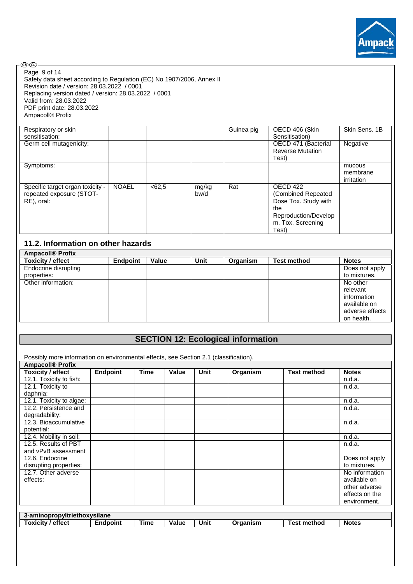

.<br>®®-Page 9 of 14Safety data sheet according to Regulation (EC) No 1907/2006, Annex II Revision date / version: 28.03.2022 / 0001 Replacing version dated / version: 28.03.2022 / 0001 Valid from: 28.03.2022 PDF print date: 28.03.2022 Ampacoll® Profix

| Respiratory or skin                                                        |              |        |               | Guinea pig | OECD 406 (Skin                                                                                                      | Skin Sens, 1B                    |
|----------------------------------------------------------------------------|--------------|--------|---------------|------------|---------------------------------------------------------------------------------------------------------------------|----------------------------------|
| sensitisation:                                                             |              |        |               |            | Sensitisation)                                                                                                      |                                  |
| Germ cell mutagenicity:                                                    |              |        |               |            | OECD 471 (Bacterial                                                                                                 | Negative                         |
|                                                                            |              |        |               |            | <b>Reverse Mutation</b>                                                                                             |                                  |
|                                                                            |              |        |               |            | Test)                                                                                                               |                                  |
| Symptoms:                                                                  |              |        |               |            |                                                                                                                     | mucous<br>membrane<br>irritation |
| Specific target organ toxicity -<br>repeated exposure (STOT-<br>RE), oral: | <b>NOAEL</b> | < 62.5 | mg/kg<br>bw/d | Rat        | OECD 422<br>(Combined Repeated<br>Dose Tox. Study with<br>the<br>Reproduction/Develop<br>m. Tox. Screening<br>Test) |                                  |

## **11.2. Information on other hazards**

| <b>Ampacoll® Profix</b>     |                 |       |             |          |                    |                 |
|-----------------------------|-----------------|-------|-------------|----------|--------------------|-----------------|
| Toxicity / effect           | <b>Endpoint</b> | Value | <b>Unit</b> | Organism | <b>Test method</b> | <b>Notes</b>    |
| <b>Endocrine disrupting</b> |                 |       |             |          |                    | Does not apply  |
| properties:                 |                 |       |             |          |                    | to mixtures.    |
| Other information:          |                 |       |             |          |                    | No other        |
|                             |                 |       |             |          |                    | relevant        |
|                             |                 |       |             |          |                    | information     |
|                             |                 |       |             |          |                    | available on    |
|                             |                 |       |             |          |                    | adverse effects |
|                             |                 |       |             |          |                    | on health.      |

# **SECTION 12: Ecological information**

| Possibly more information on environmental effects, see Section 2.1 (classification). |                 |             |       |      |          |                    |                |  |  |  |
|---------------------------------------------------------------------------------------|-----------------|-------------|-------|------|----------|--------------------|----------------|--|--|--|
| <b>Ampacoll® Profix</b>                                                               |                 |             |       |      |          |                    |                |  |  |  |
| <b>Toxicity / effect</b>                                                              | Endpoint        | <b>Time</b> | Value | Unit | Organism | <b>Test method</b> | <b>Notes</b>   |  |  |  |
| 12.1. Toxicity to fish:                                                               |                 |             |       |      |          |                    | n.d.a.         |  |  |  |
| 12.1. Toxicity to                                                                     |                 |             |       |      |          |                    | n.d.a.         |  |  |  |
| daphnia:                                                                              |                 |             |       |      |          |                    |                |  |  |  |
| 12.1. Toxicity to algae:                                                              |                 |             |       |      |          |                    | n.d.a.         |  |  |  |
| 12.2. Persistence and                                                                 |                 |             |       |      |          |                    | n.d.a.         |  |  |  |
| degradability:                                                                        |                 |             |       |      |          |                    |                |  |  |  |
| 12.3. Bioaccumulative                                                                 |                 |             |       |      |          |                    | n.d.a.         |  |  |  |
| potential:                                                                            |                 |             |       |      |          |                    |                |  |  |  |
| 12.4. Mobility in soil:                                                               |                 |             |       |      |          |                    | n.d.a.         |  |  |  |
| 12.5. Results of PBT                                                                  |                 |             |       |      |          |                    | n.d.a.         |  |  |  |
| and vPvB assessment                                                                   |                 |             |       |      |          |                    |                |  |  |  |
| 12.6. Endocrine                                                                       |                 |             |       |      |          |                    | Does not apply |  |  |  |
| disrupting properties:                                                                |                 |             |       |      |          |                    | to mixtures.   |  |  |  |
| 12.7. Other adverse                                                                   |                 |             |       |      |          |                    | No information |  |  |  |
| effects:                                                                              |                 |             |       |      |          |                    | available on   |  |  |  |
|                                                                                       |                 |             |       |      |          |                    | other adverse  |  |  |  |
|                                                                                       |                 |             |       |      |          |                    | effects on the |  |  |  |
|                                                                                       |                 |             |       |      |          |                    | environment.   |  |  |  |
|                                                                                       |                 |             |       |      |          |                    |                |  |  |  |
| 3-aminopropyltriethoxysilane                                                          |                 |             |       |      |          |                    |                |  |  |  |
| <b>Toxicity / effect</b>                                                              | <b>Endpoint</b> | <b>Time</b> | Value | Unit | Organism | <b>Test method</b> | <b>Notes</b>   |  |  |  |
|                                                                                       |                 |             |       |      |          |                    |                |  |  |  |
|                                                                                       |                 |             |       |      |          |                    |                |  |  |  |
|                                                                                       |                 |             |       |      |          |                    |                |  |  |  |
|                                                                                       |                 |             |       |      |          |                    |                |  |  |  |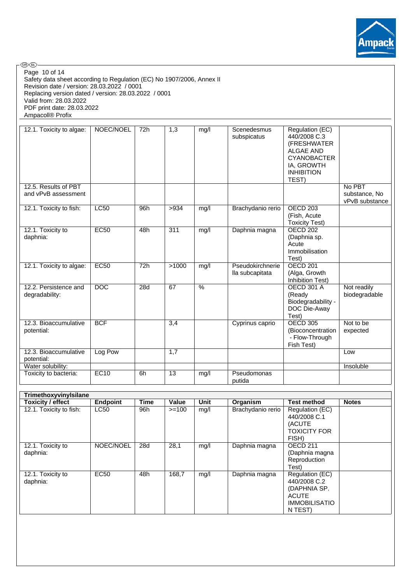

.<br>®®-

Safety data sheet according to Regulation (EC) No 1907/2006, Annex II Revision date / version: 28.03.2022 / 0001 Replacing version dated / version: 28.03.2022 / 0001 Valid from: 28.03.2022 PDF print date: 28.03.2022 Ampacoll® Profix Page 10 of 14

| 12.1. Toxicity to algae:                    | NOEC/NOEL        | 72h | 1,3              | mg/l          | Scenedesmus<br>subspicatus          | Regulation (EC)<br>440/2008 C.3<br>(FRESHWATER<br><b>ALGAE AND</b><br><b>CYANOBACTER</b><br>IA, GROWTH<br><b>INHIBITION</b><br>TEST) |                                           |
|---------------------------------------------|------------------|-----|------------------|---------------|-------------------------------------|--------------------------------------------------------------------------------------------------------------------------------------|-------------------------------------------|
| 12.5. Results of PBT<br>and vPvB assessment |                  |     |                  |               |                                     |                                                                                                                                      | No PBT<br>substance, No<br>vPvB substance |
| 12.1. Toxicity to fish:                     | <b>LC50</b>      | 96h | >934             | mg/l          | Brachydanio rerio                   | OECD <sub>203</sub><br>(Fish, Acute<br><b>Toxicity Test)</b>                                                                         |                                           |
| 12.1. Toxicity to<br>daphnia:               | EC50             | 48h | 311              | mg/l          | Daphnia magna                       | <b>OECD 202</b><br>(Daphnia sp.<br>Acute<br>Immobilisation<br>Test)                                                                  |                                           |
| 12.1. Toxicity to algae:                    | <b>EC50</b>      | 72h | >1000            | mg/l          | Pseudokirchnerie<br>lla subcapitata | <b>OECD 201</b><br>(Alga, Growth<br>Inhibition Test)                                                                                 |                                           |
| 12.2. Persistence and<br>degradability:     | $\overline{DOC}$ | 28d | 67               | $\frac{9}{6}$ |                                     | <b>OECD 301 A</b><br>(Ready<br>Biodegradability -<br>DOC Die-Away<br>Test)                                                           | Not readily<br>biodegradable              |
| 12.3. Bioaccumulative<br>potential:         | <b>BCF</b>       |     | $\overline{3,4}$ |               | Cyprinus caprio                     | <b>OECD 305</b><br>(Bioconcentration<br>- Flow-Through<br>Fish Test)                                                                 | Not to be<br>expected                     |
| 12.3. Bioaccumulative<br>potential:         | Log Pow          |     | 1,7              |               |                                     |                                                                                                                                      | Low                                       |
| Water solubility:                           |                  |     |                  |               |                                     |                                                                                                                                      | Insoluble                                 |
| Toxicity to bacteria:                       | EC10             | 6h  | 13               | mg/l          | Pseudomonas<br>putida               |                                                                                                                                      |                                           |

| TrimethoxyvinyIsilane         |                 |      |         |             |                   |                                                                                                    |              |
|-------------------------------|-----------------|------|---------|-------------|-------------------|----------------------------------------------------------------------------------------------------|--------------|
| Toxicity / effect             | <b>Endpoint</b> | Time | Value   | <b>Unit</b> | Organism          | <b>Test method</b>                                                                                 | <b>Notes</b> |
| 12.1. Toxicity to fish:       | LC50            | 96h  | $>=100$ | mq/l        | Brachydanio rerio | Regulation (EC)<br>440/2008 C.1<br>(ACUTE<br><b>TOXICITY FOR</b><br>FISH)                          |              |
| 12.1. Toxicity to<br>daphnia: | NOEC/NOEL       | 28d  | 28,1    | mq/l        | Daphnia magna     | OECD <sub>211</sub><br>(Daphnia magna<br>Reproduction<br>Test)                                     |              |
| 12.1. Toxicity to<br>daphnia: | <b>EC50</b>     | 48h  | 168,7   | mq/l        | Daphnia magna     | Regulation (EC)<br>440/2008 C.2<br>(DAPHNIA SP.<br><b>ACUTE</b><br><b>IMMOBILISATIO</b><br>N TEST) |              |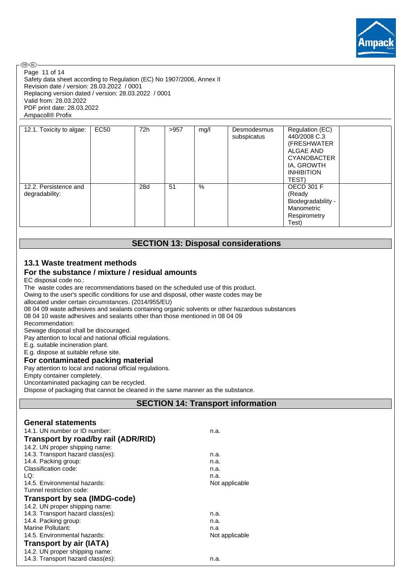

**®®-**Page 11 of 14Safety data sheet according to Regulation (EC) No 1907/2006, Annex II Revision date / version: 28.03.2022 / 0001 Replacing version dated / version: 28.03.2022 / 0001 Valid from: 28.03.2022 PDF print date: 28.03.2022 Ampacoll® Profix

| 12.1. Toxicity to algae:                | EC50 | 72h | >957 | mg/l | Desmodesmus<br>subspicatus | Regulation (EC)<br>440/2008 C.3<br>(FRESHWATER<br><b>ALGAE AND</b><br><b>CYANOBACTER</b><br>IA, GROWTH<br><b>INHIBITION</b><br>TEST) |
|-----------------------------------------|------|-----|------|------|----------------------------|--------------------------------------------------------------------------------------------------------------------------------------|
| 12.2. Persistence and<br>degradability: |      | 28d | 51   | %    |                            | <b>OECD 301 F</b><br>(Ready<br>Biodegradability -<br>Manometric<br>Respirometry<br>Test)                                             |

## **SECTION 13: Disposal considerations**

## **13.1 Waste treatment methods**

## **For the substance / mixture / residual amounts**

EC disposal code no.:

The waste codes are recommendations based on the scheduled use of this product.

Owing to the user's specific conditions for use and disposal, other waste codes may be

allocated under certain circumstances. (2014/955/EU)

08 04 09 waste adhesives and sealants containing organic solvents or other hazardous substances 08 04 10 waste adhesives and sealants other than those mentioned in 08 04 09

Recommendation:

Sewage disposal shall be discouraged.

Pay attention to local and national official regulations.

E.g. suitable incineration plant.

E.g. dispose at suitable refuse site.

#### **For contaminated packing material**

Pay attention to local and national official regulations.

Empty container completely.

Uncontaminated packaging can be recycled.

Dispose of packaging that cannot be cleaned in the same manner as the substance.

## **SECTION 14: Transport information**

### **General statements**

| 14.1. UN number or ID number:       | n.a.           |  |  |
|-------------------------------------|----------------|--|--|
| Transport by road/by rail (ADR/RID) |                |  |  |
| 14.2. UN proper shipping name:      |                |  |  |
| 14.3. Transport hazard class(es):   | n.a.           |  |  |
| 14.4. Packing group:                | n.a.           |  |  |
| Classification code:                | n.a.           |  |  |
| LQ:                                 | n.a.           |  |  |
| 14.5. Environmental hazards:        | Not applicable |  |  |
| Tunnel restriction code:            |                |  |  |
| Transport by sea (IMDG-code)        |                |  |  |
| 14.2. UN proper shipping name:      |                |  |  |
| 14.3. Transport hazard class(es):   | n.a.           |  |  |
| 14.4. Packing group:                | n.a.           |  |  |
| Marine Pollutant:                   | n.a            |  |  |
| 14.5. Environmental hazards:        | Not applicable |  |  |
| <b>Transport by air (IATA)</b>      |                |  |  |
| 14.2. UN proper shipping name:      |                |  |  |
| 14.3. Transport hazard class(es):   | n.a.           |  |  |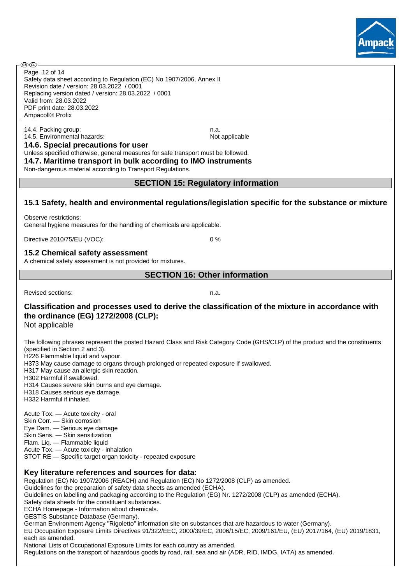

Safety data sheet according to Regulation (EC) No 1907/2006, Annex II Revision date / version: 28.03.2022 / 0001 Replacing version dated / version: 28.03.2022 / 0001 Valid from: 28.03.2022 PDF print date: 28.03.2022 Ampacoll® Profix Page 12 of 14

14.4. Packing group: n.a. 14.5. Environmental hazards: Not applicable Not applicable

**®®** 

**14.6. Special precautions for user** Unless specified otherwise, general measures for safe transport must be followed.

**14.7. Maritime transport in bulk according to IMO instruments**

Non-dangerous material according to Transport Regulations.

**SECTION 15: Regulatory information**

## **15.1 Safety, health and environmental regulations/legislation specific for the substance or mixture**

Observe restrictions: General hygiene measures for the handling of chemicals are applicable.

Directive 2010/75/EU (VOC): 0 %

## **15.2 Chemical safety assessment**

A chemical safety assessment is not provided for mixtures.

## **SECTION 16: Other information**

Revised sections: n.a.

# **Classification and processes used to derive the classification of the mixture in accordance with the ordinance (EG) 1272/2008 (CLP):**

Not applicable

The following phrases represent the posted Hazard Class and Risk Category Code (GHS/CLP) of the product and the constituents (specified in Section 2 and 3).

H226 Flammable liquid and vapour.

H373 May cause damage to organs through prolonged or repeated exposure if swallowed.

H317 May cause an allergic skin reaction.

H302 Harmful if swallowed.

H314 Causes severe skin burns and eye damage.

H318 Causes serious eye damage.

H332 Harmful if inhaled.

Acute Tox. — Acute toxicity - oral

Skin Corr. — Skin corrosion

Eye Dam. — Serious eye damage

Skin Sens. — Skin sensitization Flam. Liq. — Flammable liquid

Acute Tox. — Acute toxicity - inhalation

STOT RE — Specific target organ toxicity - repeated exposure

## **Key literature references and sources for data:**

Regulation (EC) No 1907/2006 (REACH) and Regulation (EC) No 1272/2008 (CLP) as amended.

Guidelines for the preparation of safety data sheets as amended (ECHA).

Guidelines on labelling and packaging according to the Regulation (EG) Nr. 1272/2008 (CLP) as amended (ECHA).

Safety data sheets for the constituent substances.

ECHA Homepage - Information about chemicals.

GESTIS Substance Database (Germany).

German Environment Agency "Rigoletto" information site on substances that are hazardous to water (Germany). EU Occupation Exposure Limits Directives 91/322/EEC, 2000/39/EC, 2006/15/EC, 2009/161/EU, (EU) 2017/164, (EU) 2019/1831, each as amended.

National Lists of Occupational Exposure Limits for each country as amended.

Regulations on the transport of hazardous goods by road, rail, sea and air (ADR, RID, IMDG, IATA) as amended.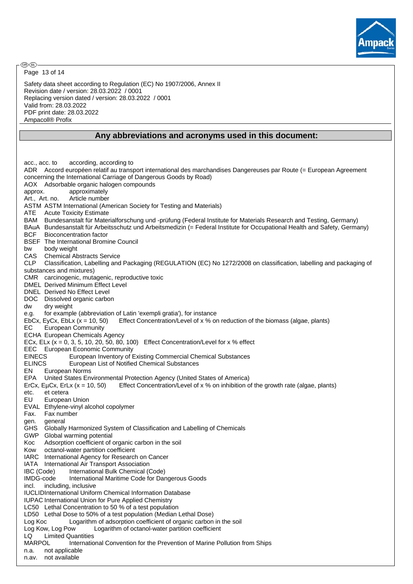

Page 13 of 14

Safety data sheet according to Regulation (EC) No 1907/2006, Annex II Revision date / version: 28.03.2022 / 0001 Replacing version dated / version: 28.03.2022 / 0001 Valid from: 28.03.2022 PDF print date: 28.03.2022 Ampacoll® Profix

### **Any abbreviations and acronyms used in this document:**

acc., acc. to according, according to ADR Accord européen relatif au transport international des marchandises Dangereuses par Route (= European Agreement concerning the International Carriage of Dangerous Goods by Road) AOX Adsorbable organic halogen compounds approx. approximately Art., Art. no. Article number ASTM ASTM International (American Society for Testing and Materials) ATE Acute Toxicity Estimate BAM Bundesanstalt für Materialforschung und -prüfung (Federal Institute for Materials Research and Testing, Germany) BAuA Bundesanstalt für Arbeitsschutz und Arbeitsmedizin (= Federal Institute for Occupational Health and Safety, Germany) BCF Bioconcentration factor BSEF The International Bromine Council bw body weight CAS Chemical Abstracts Service CLP Classification, Labelling and Packaging (REGULATION (EC) No 1272/2008 on classification, labelling and packaging of substances and mixtures) CMR carcinogenic, mutagenic, reproductive toxic DMEL Derived Minimum Effect Level DNEL Derived No Effect Level DOC Dissolved organic carbon dw dry weight e.g. for example (abbreviation of Latin 'exempli gratia'), for instance EbCx, EyCx, EbLx  $(x = 10, 50)$  Effect Concentration/Level of x % on reduction of the biomass (algae, plants) EC European Community ECHA European Chemicals Agency ECx, ELx  $(x = 0, 3, 5, 10, 20, 50, 80, 100)$  Effect Concentration/Level for  $x \, %$  effect EEC European Economic Community EINECS European Inventory of Existing Commercial Chemical Substances ELINCS European List of Notified Chemical Substances EN European Norms EPA United States Environmental Protection Agency (United States of America) ErCx, EµCx, ErLx ( $x = 10$ , 50) Effect Concentration/Level of x % on inhibition of the growth rate (algae, plants) etc. et cetera EU European Union EVAL Ethylene-vinyl alcohol copolymer Fax. Fax number gen. general GHS Globally Harmonized System of Classification and Labelling of Chemicals GWP Global warming potential Koc Adsorption coefficient of organic carbon in the soil Kow octanol-water partition coefficient IARC International Agency for Research on Cancer IATA International Air Transport Association IBC (Code) International Bulk Chemical (Code) IMDG-code International Maritime Code for Dangerous Goods incl. including, inclusive IUCLIDInternational Uniform Chemical Information Database IUPAC International Union for Pure Applied Chemistry LC50 Lethal Concentration to 50 % of a test population LD50 Lethal Dose to 50% of a test population (Median Lethal Dose) Log Koc Logarithm of adsorption coefficient of organic carbon in the soil Log Kow, Log Pow Logarithm of octanol-water partition coefficient LQ Limited Quantities MARPOL International Convention for the Prevention of Marine Pollution from Ships n.a. not applicable n.av. not available